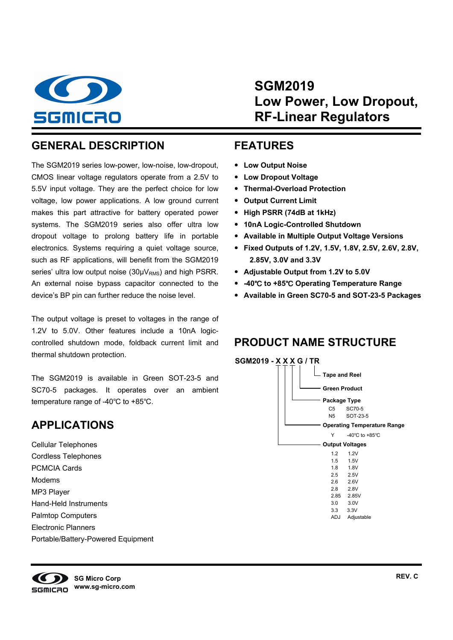

**SGM2019 Low Power, Low Dropout, RF-Linear Regulators** 

## **GENERAL DESCRIPTION**

The SGM2019 series low-power, low-noise, low-dropout, CMOS linear voltage regulators operate from a 2.5V to 5.5V input voltage. They are the perfect choice for low voltage, low power applications. A low ground current makes this part attractive for battery operated power systems. The SGM2019 series also offer ultra low dropout voltage to prolong battery life in portable electronics. Systems requiring a quiet voltage source, such as RF applications, will benefit from the SGM2019 series' ultra low output noise  $(30\mu V_{RMS})$  and high PSRR. An external noise bypass capacitor connected to the device's BP pin can further reduce the noise level.

The output voltage is preset to voltages in the range of 1.2V to 5.0V. Other features include a 10nA logiccontrolled shutdown mode, foldback current limit and thermal shutdown protection.

The SGM2019 is available in Green SOT-23-5 and SC70-5 packages. It operates over an ambient temperature range of -40℃ to +85℃.

## **APPLICATIONS**

Cellular Telephones Cordless Telephones PCMCIA Cards Modems MP3 Player Hand-Held Instruments Palmtop Computers Electronic Planners Portable/Battery-Powered Equipment

#### **FEATURES**

- **Low Output Noise**
- **Low Dropout Voltage**
- **Thermal-Overload Protection**
- **Output Current Limit**
- **High PSRR (74dB at 1kHz)**
- **10nA Logic-Controlled Shutdown**
- **Available in Multiple Output Voltage Versions**
- **Fixed Outputs of 1.2V, 1.5V, 1.8V, 2.5V, 2.6V, 2.8V, 2.85V, 3.0V and 3.3V**
- **Adjustable Output from 1.2V to 5.0V**
- **-40**℃ **to +85**℃ **Operating Temperature Range**
- **Available in Green SC70-5 and SOT-23-5 Packages**

## **PRODUCT NAME STRUCTURE**



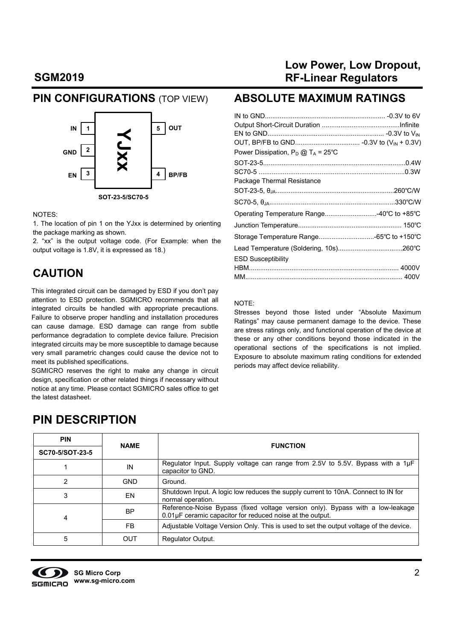#### **PIN CONFIGURATIONS** (TOP VIEW)



#### NOTES:

1. The location of pin 1 on the YJxx is determined by orienting the package marking as shown.

2. "xx" is the output voltage code. (For Example: when the output voltage is 1.8V, it is expressed as 18.)

#### **CAUTION**

This integrated circuit can be damaged by ESD if you don't pay attention to ESD protection. SGMICRO recommends that all integrated circuits be handled with appropriate precautions. Failure to observe proper handling and installation procedures can cause damage. ESD damage can range from subtle performance degradation to complete device failure. Precision integrated circuits may be more susceptible to damage because very small parametric changes could cause the device not to meet its published specifications.

SGMICRO reserves the right to make any change in circuit design, specification or other related things if necessary without notice at any time. Please contact SGMICRO sales office to get the latest datasheet.

## **Low Power, Low Dropout, RF-Linear Regulators**

#### **ABSOLUTE MAXIMUM RATINGS**

| Operating Temperature Range40°C to +85°C |
|------------------------------------------|
|                                          |
|                                          |
|                                          |
|                                          |
|                                          |
|                                          |
|                                          |

#### NOTE:

Stresses beyond those listed under "Absolute Maximum Ratings" may cause permanent damage to the device. These are stress ratings only, and functional operation of the device at these or any other conditions beyond those indicated in the operational sections of the specifications is not implied. Exposure to absolute maximum rating conditions for extended periods may affect device reliability.

## **PIN DESCRIPTION**

| <b>PIN</b>      | <b>NAME</b> | <b>FUNCTION</b>                                                                                                                             |  |  |  |
|-----------------|-------------|---------------------------------------------------------------------------------------------------------------------------------------------|--|--|--|
| SC70-5/SOT-23-5 |             |                                                                                                                                             |  |  |  |
|                 | IN          | Regulator Input. Supply voltage can range from 2.5V to 5.5V. Bypass with a 1µF<br>capacitor to GND.                                         |  |  |  |
| 2               | <b>GND</b>  | Ground.                                                                                                                                     |  |  |  |
| 3               | EN          | Shutdown Input. A logic low reduces the supply current to 10nA. Connect to IN for<br>normal operation.                                      |  |  |  |
| 4               | <b>BP</b>   | Reference-Noise Bypass (fixed voltage version only). Bypass with a low-leakage<br>0.01µF ceramic capacitor for reduced noise at the output. |  |  |  |
|                 | FB.         | Adjustable Voltage Version Only. This is used to set the output voltage of the device.                                                      |  |  |  |
| 5               | OUT         | <b>Regulator Output.</b>                                                                                                                    |  |  |  |

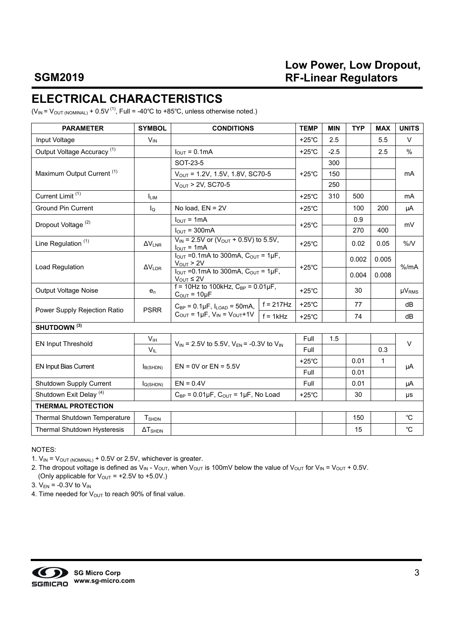## **Low Power, Low Dropout, RF-Linear Regulators**

# **ELECTRICAL CHARACTERISTICS**

 $(V_{IN} = V_{OUT (NOMINAL)} + 0.5V^{(1)}$ , Full = -40°C to +85°C, unless otherwise noted.)

| <b>PARAMETER</b>                       | <b>SYMBOL</b>            | <b>CONDITIONS</b>                                                                              |                 | <b>TEMP</b>     | <b>MIN</b> | <b>TYP</b> | <b>MAX</b>   | <b>UNITS</b>   |
|----------------------------------------|--------------------------|------------------------------------------------------------------------------------------------|-----------------|-----------------|------------|------------|--------------|----------------|
| Input Voltage                          | $V_{IN}$                 |                                                                                                |                 | $+25^{\circ}$ C | 2.5        |            | 5.5          | $\vee$         |
| Output Voltage Accuracy <sup>(1)</sup> |                          | $I_{\text{OUT}} = 0.1 \text{mA}$                                                               | $+25^{\circ}$ C | $-2.5$          |            | 2.5        | $\%$         |                |
|                                        |                          | SOT-23-5                                                                                       |                 |                 | 300        |            |              |                |
| Maximum Output Current <sup>(1)</sup>  |                          | $V_{OUT} = 1.2V, 1.5V, 1.8V, SC70-5$                                                           |                 | $+25^{\circ}$ C | 150        |            |              | mA             |
|                                        |                          | $V_{OUT}$ > 2V, SC70-5                                                                         |                 |                 | 250        |            |              |                |
| Current Limit <sup>(1)</sup>           | <b>LIM</b>               |                                                                                                |                 | $+25^{\circ}$ C | 310        | 500        |              | m <sub>A</sub> |
| <b>Ground Pin Current</b>              | $I_{\Omega}$             | No load, EN = 2V                                                                               |                 | $+25^{\circ}$ C |            | 100        | 200          | μA             |
|                                        |                          | $I_{OUT} = 1mA$                                                                                |                 |                 |            | 0.9        |              |                |
| Dropout Voltage <sup>(2)</sup>         |                          | $I_{\text{OUT}}$ = 300mA                                                                       |                 | $+25^{\circ}$ C |            | 270        | 400          | mV             |
| Line Regulation <sup>(1)</sup>         | $\Delta V_{LNR}$         | $V_{IN}$ = 2.5V or ( $V_{OUT}$ + 0.5V) to 5.5V,<br>$I_{OUT} = 1mA$                             | $+25^{\circ}$ C |                 | 0.02       | 0.05       | %N           |                |
|                                        | $\Delta V_{\text{LDR}}$  | $I_{\text{OUT}}$ =0.1mA to 300mA, $C_{\text{OUT}}$ = 1µF,<br>$V_{OUT} > 2V$                    |                 | $+25^{\circ}$ C |            | 0.002      | 0.005        | % /mA          |
| Load Regulation                        |                          | $I_{\text{OUT}}$ = 0.1 mA to 300 mA, $C_{\text{OUT}}$ = 1 $\mu$ F,<br>$V_{\text{OUT}} \leq 2V$ |                 |                 |            | 0.004      | 0.008        |                |
| Output Voltage Noise                   | $e_n$                    | $f = 10$ Hz to 100kHz, $C_{BP} = 0.01 \mu F$ ,<br>$C_{OUT} = 10 \mu F$                         |                 | $+25^{\circ}$ C |            | 30         |              | $\mu V_{RMS}$  |
|                                        | <b>PSRR</b>              | $C_{BP} = 0.1 \mu F$ , $I_{LOAD} = 50 \text{mA}$ ,                                             | $f = 217Hz$     | $+25^{\circ}$ C |            | 77         |              | dB             |
| Power Supply Rejection Ratio           |                          | $C_{\text{OUT}} = 1 \mu F$ , $V_{\text{IN}} = V_{\text{OUT}} + 1 V$                            | $f = 1kHz$      | $+25^{\circ}$ C |            | 74         |              | dB             |
| SHUTDOWN <sup>(3)</sup>                |                          |                                                                                                |                 |                 |            |            |              |                |
| <b>EN Input Threshold</b>              | V <sub>IH</sub>          | $V_{IN}$ = 2.5V to 5.5V, $V_{EN}$ = -0.3V to $V_{IN}$                                          |                 | Full            | 1.5        |            |              | $\vee$         |
|                                        | $V_{IL}$                 |                                                                                                |                 | Full            |            |            | 0.3          |                |
| <b>EN Input Bias Current</b>           |                          | $EN = 0V$ or $EN = 5.5V$                                                                       |                 | $+25^{\circ}$ C |            | 0.01       | $\mathbf{1}$ |                |
|                                        | I <sub>B(SHDN)</sub>     |                                                                                                |                 | Full            |            | 0.01       |              | μA             |
| Shutdown Supply Current                | $I_{Q(SHDN)}$            | $EN = 0.4V$                                                                                    |                 | Full            |            | 0.01       |              | μA             |
| Shutdown Exit Delay <sup>(4)</sup>     |                          | $C_{BP} = 0.01 \mu F$ , $C_{OUT} = 1 \mu F$ , No Load                                          | $+25^{\circ}$ C |                 | 30         |            | μs           |                |
| <b>THERMAL PROTECTION</b>              |                          |                                                                                                |                 |                 |            |            |              |                |
| Thermal Shutdown Temperature           | <b>T</b> <sub>SHDN</sub> |                                                                                                |                 |                 |            | 150        |              | $^{\circ}C$    |
| Thermal Shutdown Hysteresis            | $\Delta T_{\text{SHDN}}$ |                                                                                                |                 |                 |            | 15         |              | °C             |

NOTES:

1.  $V_{IN} = V_{OUT (NOMINAL)} + 0.5V$  or 2.5V, whichever is greater.

2. The dropout voltage is defined as  $V_{IN}$  -  $V_{OUT}$ , when  $V_{OUT}$  is 100mV below the value of  $V_{OUT}$  for  $V_{IN} = V_{OUT} + 0.5V$ . (Only applicable for  $V_{\text{OUT}} = +2.5V$  to +5.0V.)

3.  $V_{EN}$  = -0.3V to  $V_{IN}$ 

4. Time needed for  $V_{\text{OUT}}$  to reach 90% of final value.

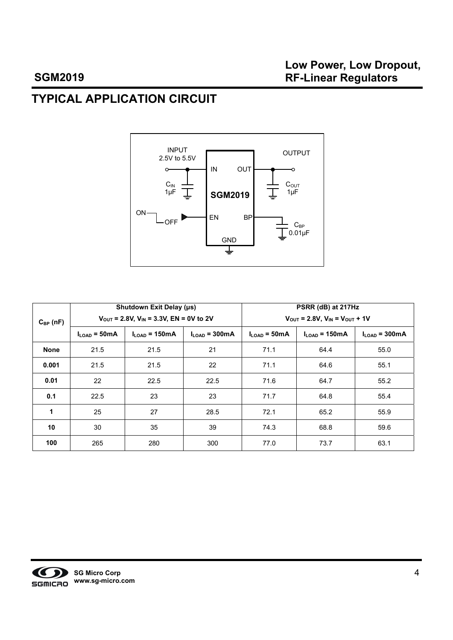# **TYPICAL APPLICATION CIRCUIT**



|               |                | Shutdown Exit Delay (µs)                         |                 | PSRR (dB) at 217Hz                                           |                            |                               |  |  |
|---------------|----------------|--------------------------------------------------|-----------------|--------------------------------------------------------------|----------------------------|-------------------------------|--|--|
| $C_{BP}$ (nF) |                | $V_{OUT}$ = 2.8V, $V_{IN}$ = 3.3V, EN = 0V to 2V |                 | $V_{\text{OUT}} = 2.8V, V_{\text{IN}} = V_{\text{OUT}} + 1V$ |                            |                               |  |  |
|               | $ILOAD$ = 50mA | $I_{\text{LOAD}}$ = 150mA                        | $ILOAD$ = 300mA | $II$ $_{QAD}$ = 50 mA                                        | $I_{\text{LOAD}}$ = 150 mA | $I1$ $_{\text{OAD}}$ = 300 mA |  |  |
| <b>None</b>   | 21.5           | 21.5                                             | 21              | 71.1                                                         | 64.4                       | 55.0                          |  |  |
| 0.001         | 21.5           | 21.5                                             | 22              | 71.1                                                         | 64.6                       | 55.1                          |  |  |
| 0.01          | 22             | 22.5                                             | 22.5            | 71.6                                                         | 64.7                       | 55.2                          |  |  |
| 0.1           | 22.5           | 23                                               | 23              | 71.7                                                         | 64.8                       | 55.4                          |  |  |
| 1             | 25             | 27                                               | 28.5            | 72.1                                                         | 65.2                       | 55.9                          |  |  |
| 10            | 30             | 35                                               | 39              | 74.3                                                         | 68.8                       | 59.6                          |  |  |
| 100           | 265            | 280                                              | 300             | 77.0                                                         | 73.7                       | 63.1                          |  |  |

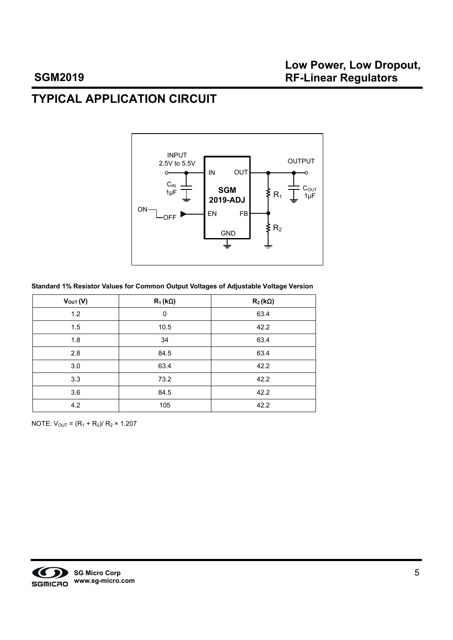# **TYPICAL APPLICATION CIRCUIT**



#### **Standard 1% Resistor Values for Common Output Voltages of Adjustable Voltage Version**

| $V_{OUT}(V)$ | $R_1(k\Omega)$ | $R_2(k\Omega)$ |
|--------------|----------------|----------------|
| 1.2          | 0              | 63.4           |
| 1.5          | 10.5           | 42.2           |
| 1.8          | 34             | 63.4           |
| 2.8          | 84.5           | 63.4           |
| 3.0          | 63.4           | 42.2           |
| 3.3          | 73.2           | 42.2           |
| 3.6          | 84.5           | 42.2           |
| 4.2          | 105            | 42.2           |

NOTE:  $V_{OUT} = (R_1 + R_2)/R_2 \times 1.207$ 

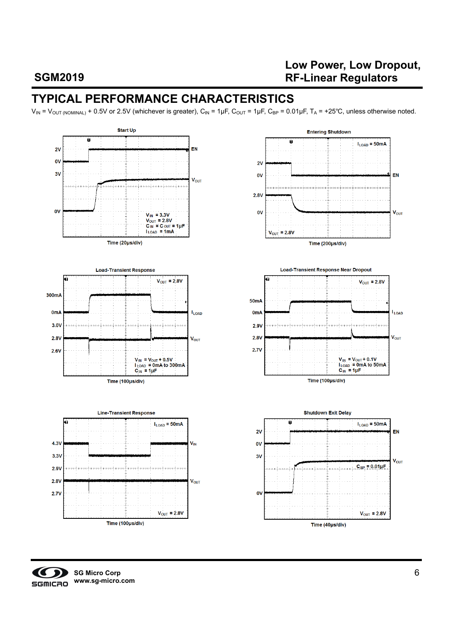## **Low Power, Low Dropout, RF-Linear Regulators**

# **TYPICAL PERFORMANCE CHARACTERISTICS**

 $V_{IN} = V_{OUT (NOMINAL)} + 0.5V$  or 2.5V (whichever is greater),  $C_{IN} = 1 \mu F$ ,  $C_{OUT} = 1 \mu F$ ,  $C_{BP} = 0.01 \mu F$ ,  $T_A = +25^{\circ}C$ , unless otherwise noted.



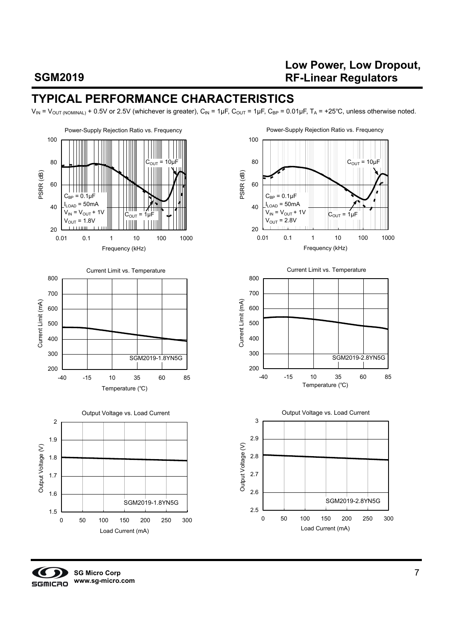## **Low Power, Low Dropout, RF-Linear Regulators**

# **TYPICAL PERFORMANCE CHARACTERISTICS**

 $V_{IN} = V_{OUT (NOMINAL)} + 0.5V$  or 2.5V (whichever is greater),  $C_{IN} = 1 \mu F$ ,  $C_{OUT} = 1 \mu F$ ,  $C_{BP} = 0.01 \mu F$ ,  $T_A = +25^{\circ}C$ , unless otherwise noted.

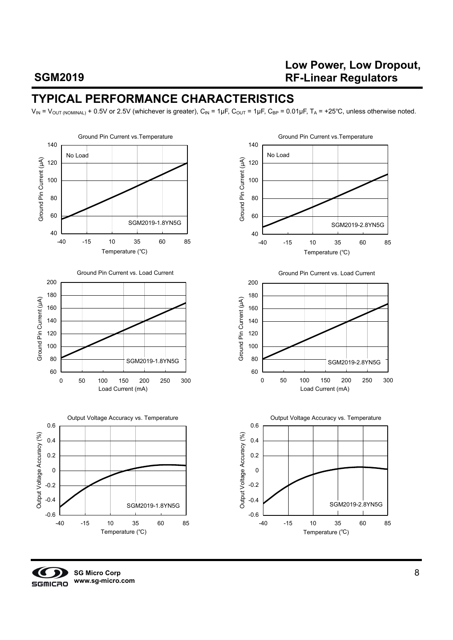## **Low Power, Low Dropout, RF-Linear Regulators**

## **TYPICAL PERFORMANCE CHARACTERISTICS**

 $V_{IN} = V_{OUT (NOMINAL)} + 0.5V$  or 2.5V (whichever is greater),  $C_{IN} = 1 \mu F$ ,  $C_{OUT} = 1 \mu F$ ,  $C_{BP} = 0.01 \mu F$ ,  $T_A = +25°C$ , unless otherwise noted.



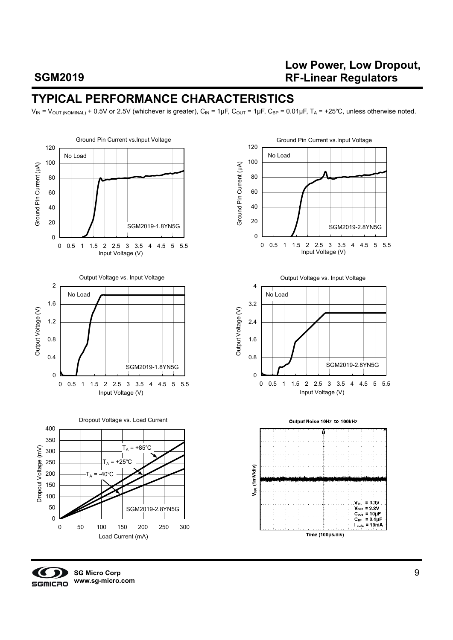## **Low Power, Low Dropout, RF-Linear Regulators**

## **TYPICAL PERFORMANCE CHARACTERISTICS**

 $V_{IN} = V_{OUT (NOMINAL)} + 0.5V$  or 2.5V (whichever is greater),  $C_{IN} = 1 \mu F$ ,  $C_{OUT} = 1 \mu F$ ,  $C_{BP} = 0.01 \mu F$ ,  $T_A = +25^{\circ}C$ , unless otherwise noted.





**SG Micro Corp www.sg-micro.com**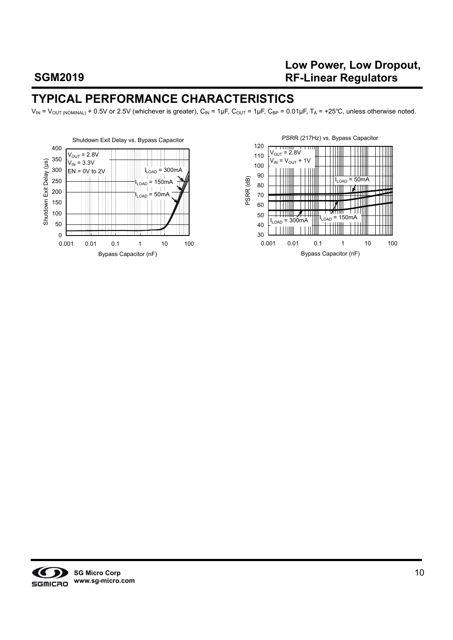## **Low Power, Low Dropout, RF-Linear Regulators**

## **TYPICAL PERFORMANCE CHARACTERISTICS**

 $V_{IN} = V_{OUT (NOMINAL)} + 0.5V$  or 2.5V (whichever is greater),  $C_{IN} = 1 \mu F$ ,  $C_{OUT} = 1 \mu F$ ,  $C_{BP} = 0.01 \mu F$ ,  $T_A = +25^{\circ}C$ , unless otherwise noted.





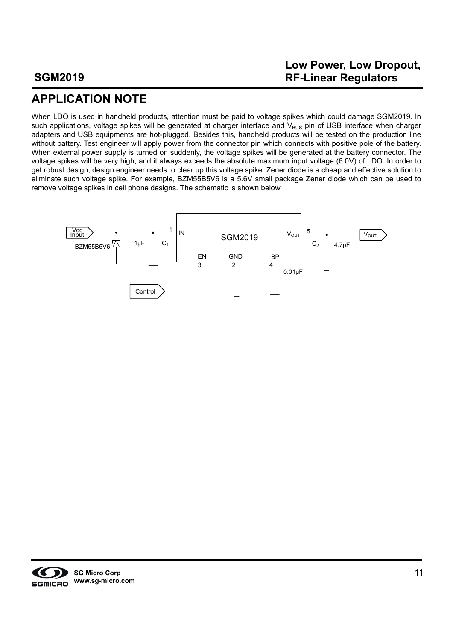## **Low Power, Low Dropout, RF-Linear Regulators**

# **APPLICATION NOTE**

When LDO is used in handheld products, attention must be paid to voltage spikes which could damage SGM2019. In such applications, voltage spikes will be generated at charger interface and  $V_{BUS}$  pin of USB interface when charger adapters and USB equipments are hot-plugged. Besides this, handheld products will be tested on the production line without battery. Test engineer will apply power from the connector pin which connects with positive pole of the battery. When external power supply is turned on suddenly, the voltage spikes will be generated at the battery connector. The voltage spikes will be very high, and it always exceeds the absolute maximum input voltage (6.0V) of LDO. In order to get robust design, design engineer needs to clear up this voltage spike. Zener diode is a cheap and effective solution to eliminate such voltage spike. For example, BZM55B5V6 is a 5.6V small package Zener diode which can be used to remove voltage spikes in cell phone designs. The schematic is shown below.

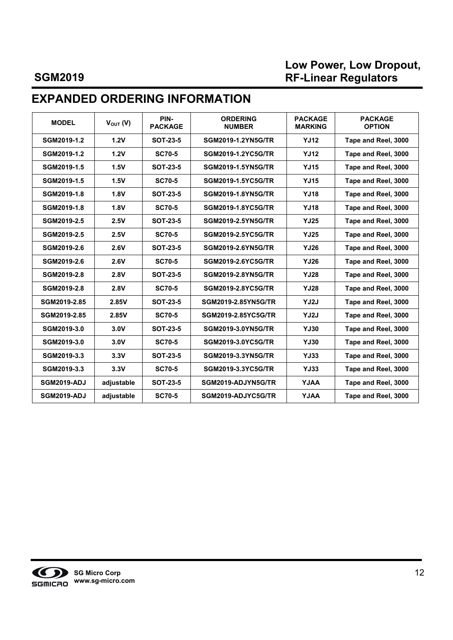## **Low Power, Low Dropout, RF-Linear Regulators**

# **EXPANDED ORDERING INFORMATION**

| <b>MODEL</b>       | $V_{\text{OUT}}(V)$ | PIN-<br><b>PACKAGE</b> | <b>ORDERING</b><br><b>NUMBER</b> | <b>PACKAGE</b><br><b>MARKING</b> | <b>PACKAGE</b><br><b>OPTION</b> |
|--------------------|---------------------|------------------------|----------------------------------|----------------------------------|---------------------------------|
| SGM2019-1.2        | 1.2V                | <b>SOT-23-5</b>        | <b>SGM2019-1.2YN5G/TR</b>        | <b>YJ12</b>                      | Tape and Reel, 3000             |
| SGM2019-1.2        | 1.2V                | <b>SC70-5</b>          | SGM2019-1.2YC5G/TR               | <b>YJ12</b>                      | Tape and Reel, 3000             |
| SGM2019-1.5        | 1.5V                | <b>SOT-23-5</b>        | <b>SGM2019-1.5YN5G/TR</b>        | <b>YJ15</b>                      | Tape and Reel, 3000             |
| SGM2019-1.5        | 1.5V                | <b>SC70-5</b>          | <b>SGM2019-1.5YC5G/TR</b>        | <b>YJ15</b>                      | Tape and Reel, 3000             |
| SGM2019-1.8        | 1.8V                | <b>SOT-23-5</b>        | <b>SGM2019-1.8YN5G/TR</b>        | <b>YJ18</b>                      | Tape and Reel, 3000             |
| SGM2019-1.8        | 1.8V                | <b>SC70-5</b>          | <b>SGM2019-1.8YC5G/TR</b>        | <b>YJ18</b>                      | Tape and Reel, 3000             |
| SGM2019-2.5        | 2.5V                | <b>SOT-23-5</b>        | <b>SGM2019-2.5YN5G/TR</b>        | <b>YJ25</b>                      | Tape and Reel, 3000             |
| SGM2019-2.5        | 2.5V                | <b>SC70-5</b>          | <b>SGM2019-2.5YC5G/TR</b>        | <b>YJ25</b>                      | Tape and Reel, 3000             |
| SGM2019-2.6        | 2.6V                | <b>SOT-23-5</b>        | <b>SGM2019-2.6YN5G/TR</b>        | <b>YJ26</b>                      | Tape and Reel, 3000             |
| SGM2019-2.6        | 2.6V                | <b>SC70-5</b>          | <b>SGM2019-2.6YC5G/TR</b>        | <b>YJ26</b>                      | Tape and Reel, 3000             |
| SGM2019-2.8        | 2.8V                | <b>SOT-23-5</b>        | <b>SGM2019-2.8YN5G/TR</b>        | <b>YJ28</b>                      | Tape and Reel, 3000             |
| SGM2019-2.8        | 2.8V                | <b>SC70-5</b>          | SGM2019-2.8YC5G/TR               | <b>YJ28</b>                      | Tape and Reel, 3000             |
| SGM2019-2.85       | 2.85V               | <b>SOT-23-5</b>        | SGM2019-2.85YN5G/TR              | YJ2J                             | Tape and Reel, 3000             |
| SGM2019-2.85       | 2.85V               | <b>SC70-5</b>          | SGM2019-2.85YC5G/TR              | YJ2J                             | Tape and Reel, 3000             |
| SGM2019-3.0        | 3.0V                | <b>SOT-23-5</b>        | <b>SGM2019-3.0YN5G/TR</b>        | <b>YJ30</b>                      | Tape and Reel, 3000             |
| SGM2019-3.0        | 3.0V                | <b>SC70-5</b>          | <b>SGM2019-3.0YC5G/TR</b>        | <b>YJ30</b>                      | Tape and Reel, 3000             |
| SGM2019-3.3        | 3.3V                | <b>SOT-23-5</b>        | <b>SGM2019-3.3YN5G/TR</b>        | <b>YJ33</b>                      | Tape and Reel, 3000             |
| SGM2019-3.3        | 3.3V                | <b>SC70-5</b>          | SGM2019-3.3YC5G/TR               | <b>YJ33</b>                      | Tape and Reel, 3000             |
| <b>SGM2019-ADJ</b> | adjustable          | <b>SOT-23-5</b>        | SGM2019-ADJYN5G/TR               | <b>AALY</b>                      | Tape and Reel, 3000             |
| <b>SGM2019-ADJ</b> | adjustable          | <b>SC70-5</b>          | SGM2019-ADJYC5G/TR               | <b>AALY</b>                      | Tape and Reel, 3000             |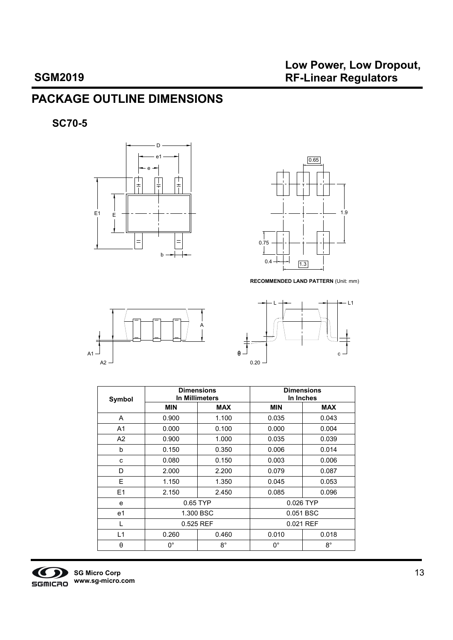# **PACKAGE OUTLINE DIMENSIONS**

**SC70-5** 





**RECOMMENDED LAND PATTERN** (Unit: mm)





| Symbol |            | <b>Dimensions</b><br>In Millimeters | <b>Dimensions</b><br>In Inches |             |  |  |
|--------|------------|-------------------------------------|--------------------------------|-------------|--|--|
|        | <b>MIN</b> | <b>MAX</b>                          | <b>MIN</b>                     | <b>MAX</b>  |  |  |
| A      | 0.900      | 1.100                               | 0.035                          | 0.043       |  |  |
| A1     | 0.000      | 0.100                               | 0.000                          | 0.004       |  |  |
| A2     | 0.900      | 1.000                               | 0.035                          | 0.039       |  |  |
| b      | 0.150      | 0.350                               | 0.006                          | 0.014       |  |  |
| c      | 0.080      | 0.150                               | 0.003                          | 0.006       |  |  |
| D      | 2.000      | 2.200                               | 0.079                          | 0.087       |  |  |
| Е      | 1.150      | 1.350                               | 0.045                          | 0.053       |  |  |
| E1     | 2.150      | 2.450                               | 0.085                          | 0.096       |  |  |
| e      |            | 0.65 TYP                            |                                | 0.026 TYP   |  |  |
| e1     |            | 1.300 BSC                           |                                | 0.051 BSC   |  |  |
| L      | 0.525 REF  |                                     |                                | 0.021 REF   |  |  |
| L1     | 0.260      | 0.460                               | 0.010                          | 0.018       |  |  |
| θ      | 0°         | $8^{\circ}$                         | $0^{\circ}$                    | $8^{\circ}$ |  |  |

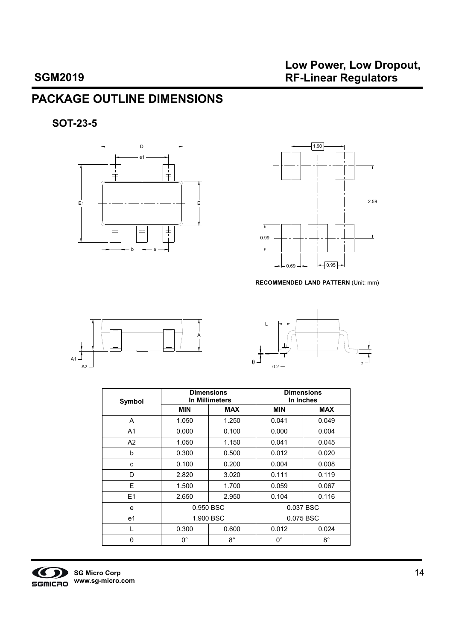# **PACKAGE OUTLINE DIMENSIONS**

**SOT-23-5** 





**RECOMMENDED LAND PATTERN** (Unit: mm)





| Symbol |                | <b>Dimensions</b><br>In Millimeters |            | <b>Dimensions</b><br>In Inches |
|--------|----------------|-------------------------------------|------------|--------------------------------|
|        | <b>MIN</b>     | <b>MAX</b>                          | <b>MIN</b> | <b>MAX</b>                     |
| A      | 1.050          | 1.250                               | 0.041      | 0.049                          |
| A1     | 0.000          | 0.100                               | 0.000      | 0.004                          |
| A2     | 1.050          | 1.150                               | 0.041      | 0.045                          |
| b      | 0.300          | 0.500                               | 0.012      | 0.020                          |
| c      | 0.100<br>0.200 |                                     | 0.004      | 0.008                          |
| D      | 2.820          | 3.020                               | 0.111      | 0.119                          |
| Е      | 1.500          | 1.700                               | 0.059      | 0.067                          |
| E1     | 2.650          | 2.950                               | 0.104      | 0.116                          |
| e      |                | 0.950 BSC                           |            | 0.037 BSC                      |
| e1     |                | 1.900 BSC                           |            | 0.075 BSC                      |
| L      | 0.300          | 0.600                               | 0.012      | 0.024                          |
| θ      | $0^{\circ}$    | $8^{\circ}$                         | 0°         | $8^{\circ}$                    |

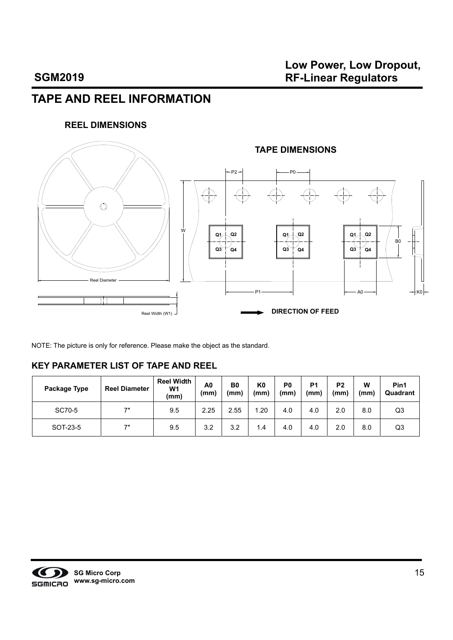# **TAPE AND REEL INFORMATION**

#### **REEL DIMENSIONS**



NOTE: The picture is only for reference. Please make the object as the standard.

#### **KEY PARAMETER LIST OF TAPE AND REEL**

| Package Type | <b>Reel Diameter</b> | <b>Reel Width</b><br>W <sub>1</sub><br>(mm) | A0<br>(mm) | B <sub>0</sub><br>(mm) | K <sub>0</sub><br>(mm) | P <sub>0</sub><br>(mm) | P <sub>1</sub><br>(mm) | P <sub>2</sub><br>(mm) | W<br>(mm) | Pin1<br>Quadrant |
|--------------|----------------------|---------------------------------------------|------------|------------------------|------------------------|------------------------|------------------------|------------------------|-----------|------------------|
| SC70-5       | 7"                   | 9.5                                         | 2.25       | 2.55                   | .20                    | 4.0                    | 4.0                    | 2.0                    | 8.0       | Q3               |
| SOT-23-5     | 7"                   | 9.5                                         | 3.2        | 3.2                    | 1.4                    | 4.0                    | 4.0                    | 2.0                    | 8.0       | Q3               |